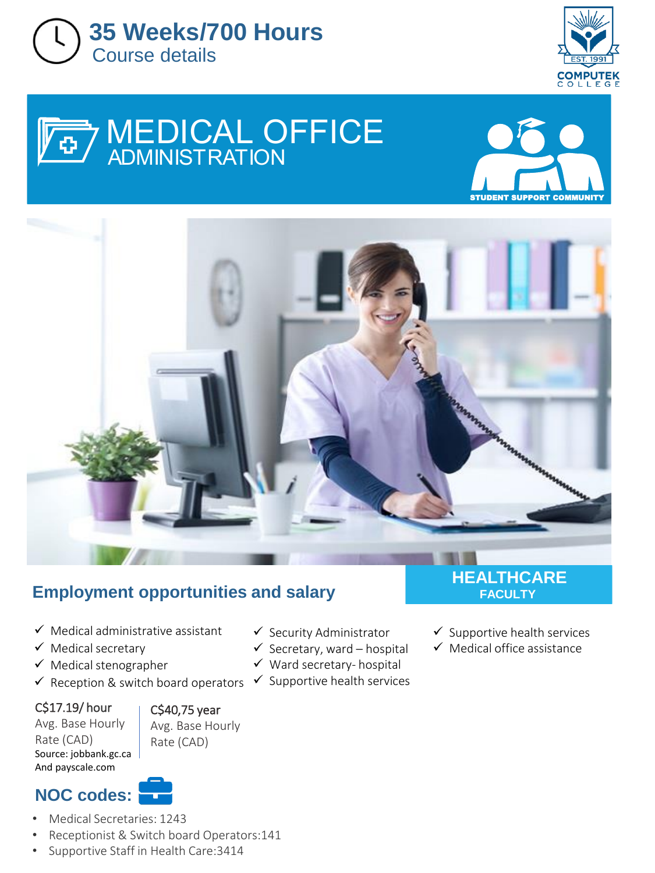



# **MEDICAL OFFICE** Α





## **Employment opportunities and salary**

- $\checkmark$  Medical administrative assistant
- $\checkmark$  Medical secretary
- ✓ Medical stenographer
- $\checkmark$  Reception & switch board operators  $\checkmark$  Supportive health services

#### C\$17.19/ hour

Avg. Base Hourly Rate (CAD) Source: jobbank.gc.ca And payscale.com

C\$40,75 year Avg. Base Hourly Rate (CAD)

## **NOC codes:**

- Medical Secretaries: 1243
- Receptionist & Switch board Operators:141
- Supportive Staff in Health Care:3414
- ✓ Security Administrator
- $\checkmark$  Secretary, ward hospital
- ✓ Ward secretary- hospital
- 

## **HEALTHCARE FACULTY**

- $\checkmark$  Supportive health services
- $\checkmark$  Medical office assistance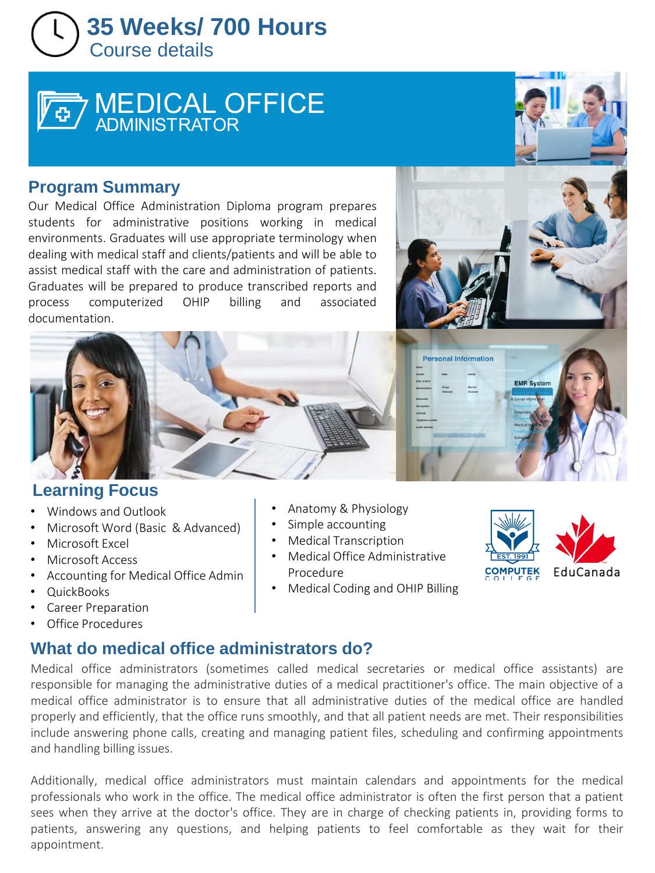## **35 Weeks/ 700 Hours**  Course details



### **Program Summary**

Our Medical Office Administration Diploma program prepares students for administrative positions working in medical environments. Graduates will use appropriate terminology when dealing with medical staff and clients/patients and will be able to assist medical staff with the care and administration of patients. Graduates will be prepared to produce transcribed reports and process computerized OHIP billing and associated documentation.





## **Learning Focus**

- Windows and Outlook
- Microsoft Word (Basic & Advanced)
- Microsoft Excel
- Microsoft Access
- Accounting for Medical Office Admin
- QuickBooks
- Career Preparation
- Office Procedures

## **What do medical office administrators do?**

Medical office administrators (sometimes called medical secretaries or medical office assistants) are responsible for managing the administrative duties of a medical practitioner's office. The main objective of a medical office administrator is to ensure that all administrative duties of the medical office are handled properly and efficiently, that the office runs smoothly, and that all patient needs are met. Their responsibilities include answering phone calls, creating and managing patient files, scheduling and confirming appointments and handling billing issues.

Additionally, medical office administrators must maintain calendars and appointments for the medical professionals who work in the office. The medical office administrator is often the first person that a patient sees when they arrive at the doctor's office. They are in charge of checking patients in, providing forms to patients, answering any questions, and helping patients to feel comfortable as they wait for their appointment.

- Anatomy & Physiology
- Simple accounting
- Medical Transcription
- Medical Office Administrative Procedure
- Medical Coding and OHIP Billing





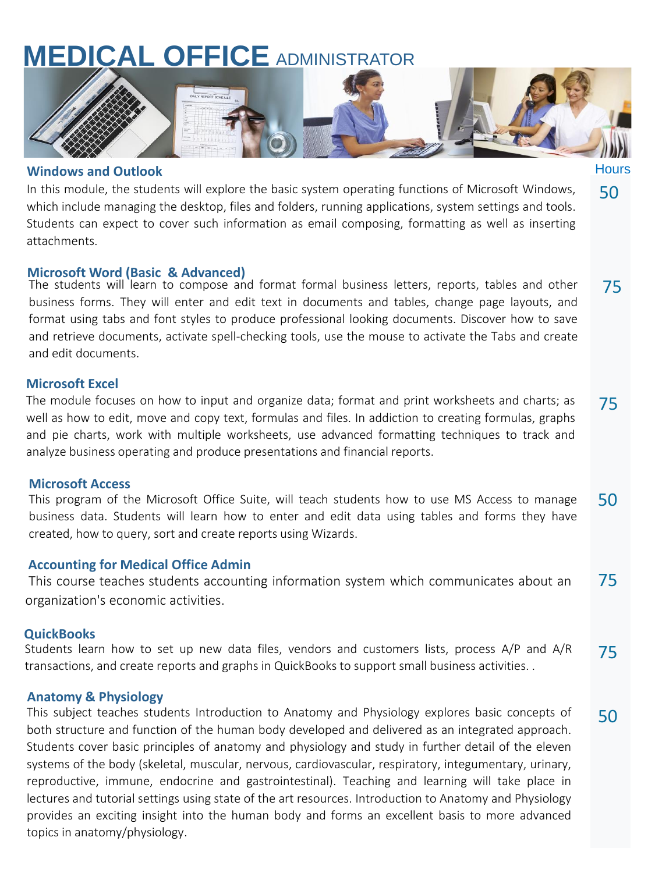# **MEDICAL OFFICE ADMINISTRATOR**



In this module, the students will explore the basic system operating functions of Microsoft Windows, which include managing the desktop, files and folders, running applications, system settings and tools. Students can expect to cover such information as email composing, formatting as well as inserting attachments.

#### **Microsoft Word (Basic & Advanced)**

The students will learn to compose and format formal business letters, reports, tables and other business forms. They will enter and edit text in documents and tables, change page layouts, and format using tabs and font styles to produce professional looking documents. Discover how to save and retrieve documents, activate spell-checking tools, use the mouse to activate the Tabs and create and edit documents. 75

#### **Microsoft Excel**

The module focuses on how to input and organize data; format and print worksheets and charts; as well as how to edit, move and copy text, formulas and files. In addiction to creating formulas, graphs and pie charts, work with multiple worksheets, use advanced formatting techniques to track and analyze business operating and produce presentations and financial reports. 75

#### **Microsoft Access**

This program of the Microsoft Office Suite, will teach students how to use MS Access to manage business data. Students will learn how to enter and edit data using tables and forms they have created, how to query, sort and create reports using Wizards. 50

#### **Accounting for Medical Office Admin**

This course teaches students accounting information system which communicates about an organization's economic activities. 75

#### **QuickBooks**

Students learn how to set up new data files, vendors and customers lists, process A/P and A/R transactions, and create reports and graphs in QuickBooks to support small business activities. . 75

#### **Anatomy & Physiology**

This subject teaches students Introduction to Anatomy and Physiology explores basic concepts of both structure and function of the human body developed and delivered as an integrated approach. Students cover basic principles of anatomy and physiology and study in further detail of the eleven systems of the body (skeletal, muscular, nervous, cardiovascular, respiratory, integumentary, urinary, reproductive, immune, endocrine and gastrointestinal). Teaching and learning will take place in lectures and tutorial settings using state of the art resources. Introduction to Anatomy and Physiology provides an exciting insight into the human body and forms an excellent basis to more advanced topics in anatomy/physiology. 50